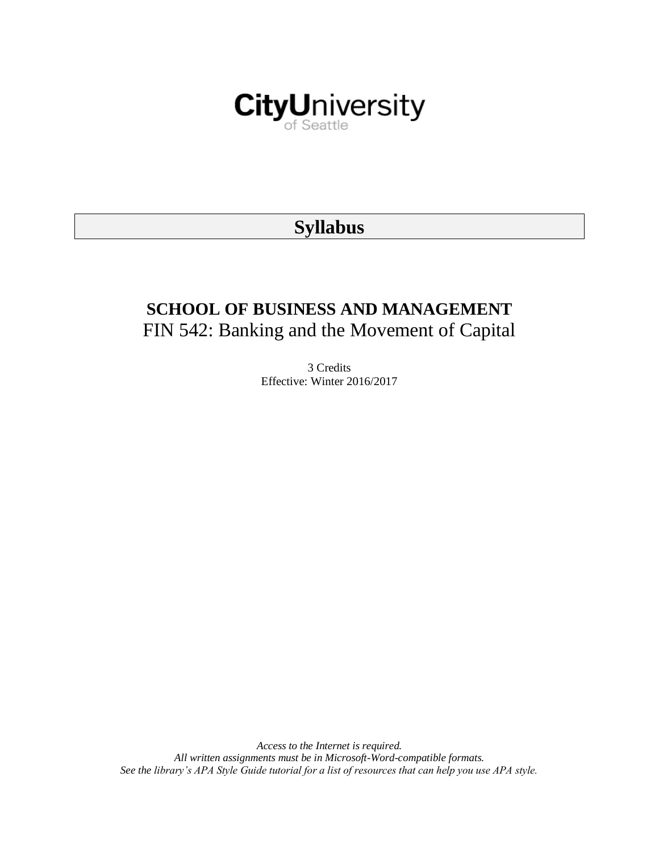

# **Syllabus**

# **SCHOOL OF BUSINESS AND MANAGEMENT** FIN 542: Banking and the Movement of Capital

3 Credits Effective: Winter 2016/2017

*Access to the Internet is required. All written assignments must be in Microsoft-Word-compatible formats. See the library's APA Style Guide tutorial for a list of resources that can help you use APA style.*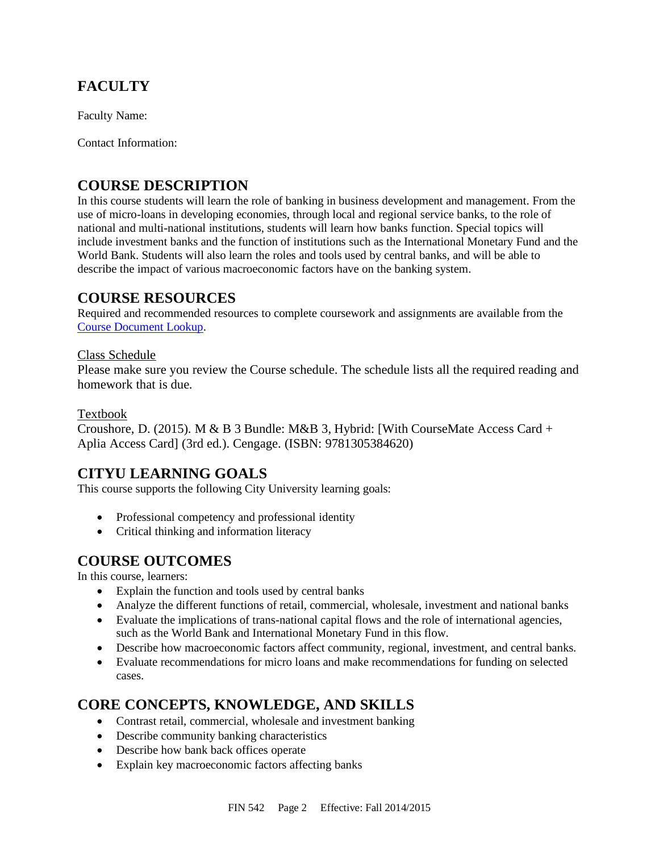# **FACULTY**

Faculty Name:

Contact Information:

# **COURSE DESCRIPTION**

In this course students will learn the role of banking in business development and management. From the use of micro-loans in developing economies, through local and regional service banks, to the role of national and multi-national institutions, students will learn how banks function. Special topics will include investment banks and the function of institutions such as the International Monetary Fund and the World Bank. Students will also learn the roles and tools used by central banks, and will be able to describe the impact of various macroeconomic factors have on the banking system.

# **COURSE RESOURCES**

Required and recommended resources to complete coursework and assignments are available from the [Course Document Lookup.](https://documents.cityu.edu/coursedocumentlookup.aspx)

### Class Schedule

Please make sure you review the Course schedule. The schedule lists all the required reading and homework that is due.

### Textbook

Croushore, D. (2015). M & B 3 Bundle: M&B 3, Hybrid: [With CourseMate Access Card + Aplia Access Card] (3rd ed.). Cengage. (ISBN: 9781305384620)

## **CITYU LEARNING GOALS**

This course supports the following City University learning goals:

- Professional competency and professional identity
- Critical thinking and information literacy

## **COURSE OUTCOMES**

In this course, learners:

- Explain the function and tools used by central banks
- Analyze the different functions of retail, commercial, wholesale, investment and national banks
- Evaluate the implications of trans-national capital flows and the role of international agencies, such as the World Bank and International Monetary Fund in this flow.
- Describe how macroeconomic factors affect community, regional, investment, and central banks.
- Evaluate recommendations for micro loans and make recommendations for funding on selected cases.

# **CORE CONCEPTS, KNOWLEDGE, AND SKILLS**

- Contrast retail, commercial, wholesale and investment banking
- Describe community banking characteristics
- Describe how bank back offices operate
- Explain key macroeconomic factors affecting banks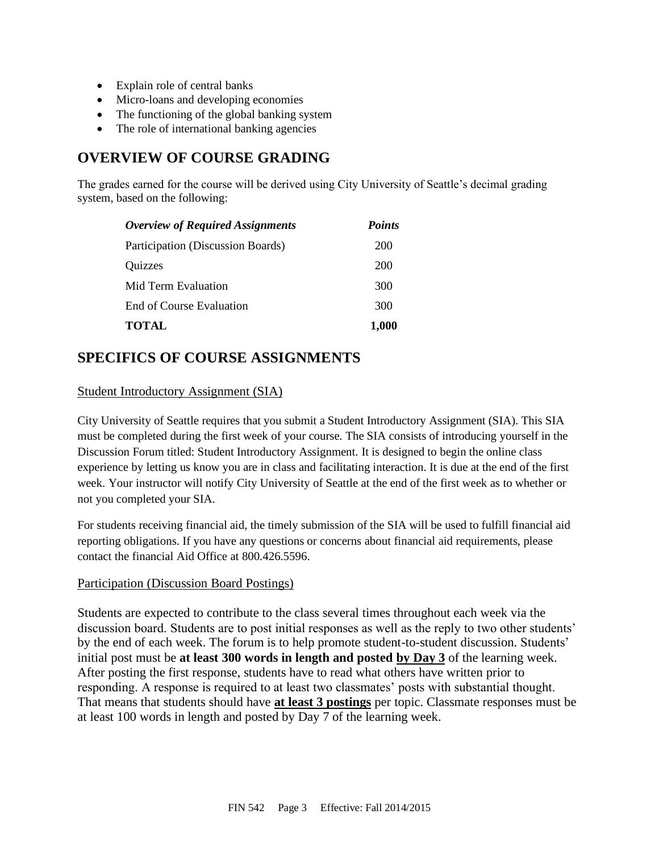- Explain role of central banks
- Micro-loans and developing economies
- The functioning of the global banking system
- The role of international banking agencies

# **OVERVIEW OF COURSE GRADING**

The grades earned for the course will be derived using City University of Seattle's decimal grading system, based on the following:

| <b>Overview of Required Assignments</b> | <b>Points</b> |
|-----------------------------------------|---------------|
| Participation (Discussion Boards)       | 200           |
| Quizzes                                 | 200           |
| Mid Term Evaluation                     | 300           |
| End of Course Evaluation                | 300           |
| <b>TOTAL</b>                            | 1,000         |

# **SPECIFICS OF COURSE ASSIGNMENTS**

### Student Introductory Assignment (SIA)

City University of Seattle requires that you submit a Student Introductory Assignment (SIA). This SIA must be completed during the first week of your course. The SIA consists of introducing yourself in the Discussion Forum titled: Student Introductory Assignment. It is designed to begin the online class experience by letting us know you are in class and facilitating interaction. It is due at the end of the first week. Your instructor will notify City University of Seattle at the end of the first week as to whether or not you completed your SIA.

For students receiving financial aid, the timely submission of the SIA will be used to fulfill financial aid reporting obligations. If you have any questions or concerns about financial aid requirements, please contact the financial Aid Office at 800.426.5596.

### Participation (Discussion Board Postings)

Students are expected to contribute to the class several times throughout each week via the discussion board. Students are to post initial responses as well as the reply to two other students' by the end of each week. The forum is to help promote student-to-student discussion. Students' initial post must be **at least 300 words in length and posted by Day 3** of the learning week. After posting the first response, students have to read what others have written prior to responding. A response is required to at least two classmates' posts with substantial thought. That means that students should have **at least 3 postings** per topic. Classmate responses must be at least 100 words in length and posted by Day 7 of the learning week.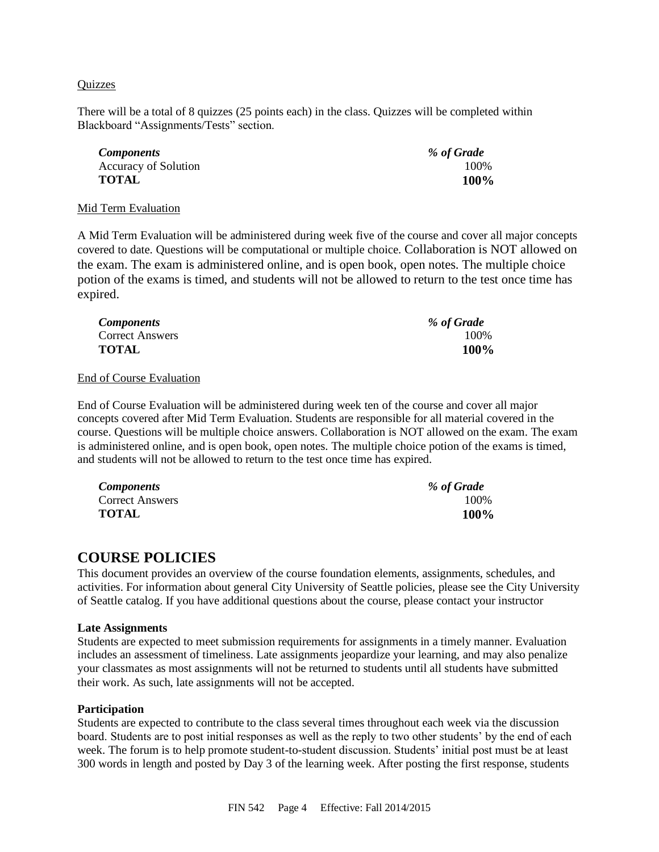#### **Ouizzes**

There will be a total of 8 quizzes (25 points each) in the class. Quizzes will be completed within Blackboard "Assignments/Tests" section.

| <i>Components</i>    | % of Grade |
|----------------------|------------|
| Accuracy of Solution | 100%       |
| <b>TOTAL</b>         | 100%       |

#### Mid Term Evaluation

A Mid Term Evaluation will be administered during week five of the course and cover all major concepts covered to date. Questions will be computational or multiple choice. Collaboration is NOT allowed on the exam. The exam is administered online, and is open book, open notes. The multiple choice potion of the exams is timed, and students will not be allowed to return to the test once time has expired.

| <b>Components</b>      | % of Grade |
|------------------------|------------|
| <b>Correct Answers</b> | 100\%      |
| <b>TOTAL</b>           | 100%       |

#### End of Course Evaluation

End of Course Evaluation will be administered during week ten of the course and cover all major concepts covered after Mid Term Evaluation. Students are responsible for all material covered in the course. Questions will be multiple choice answers. Collaboration is NOT allowed on the exam. The exam is administered online, and is open book, open notes. The multiple choice potion of the exams is timed, and students will not be allowed to return to the test once time has expired.

| <i>Components</i>      | % of Grade |
|------------------------|------------|
| <b>Correct Answers</b> | 100\%      |
| <b>TOTAL</b>           | 100%       |

### **COURSE POLICIES**

This document provides an overview of the course foundation elements, assignments, schedules, and activities. For information about general City University of Seattle policies, please see the City University of Seattle catalog. If you have additional questions about the course, please contact your instructor

#### **Late Assignments**

Students are expected to meet submission requirements for assignments in a timely manner. Evaluation includes an assessment of timeliness. Late assignments jeopardize your learning, and may also penalize your classmates as most assignments will not be returned to students until all students have submitted their work. As such, late assignments will not be accepted.

#### **Participation**

Students are expected to contribute to the class several times throughout each week via the discussion board. Students are to post initial responses as well as the reply to two other students' by the end of each week. The forum is to help promote student-to-student discussion. Students' initial post must be at least 300 words in length and posted by Day 3 of the learning week. After posting the first response, students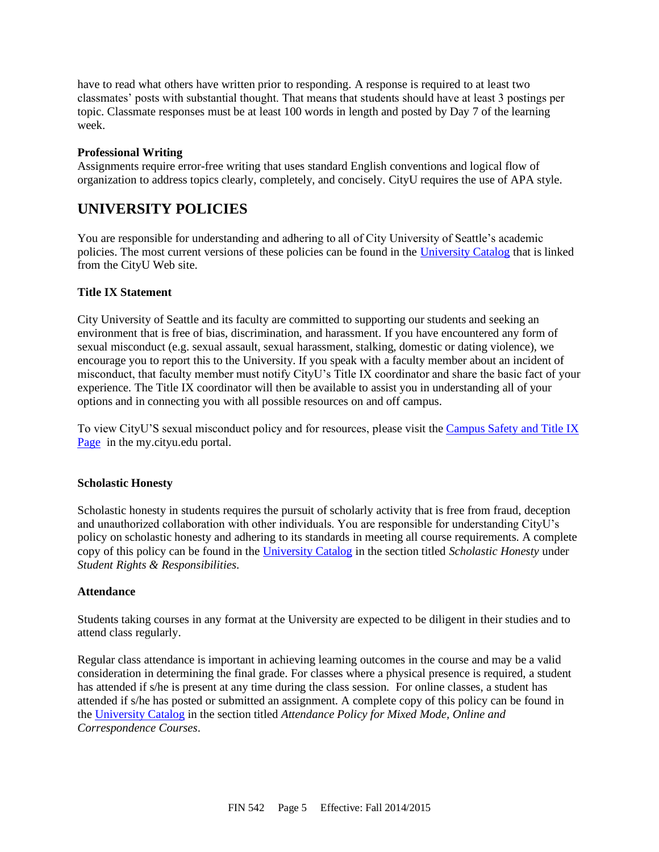have to read what others have written prior to responding. A response is required to at least two classmates' posts with substantial thought. That means that students should have at least 3 postings per topic. Classmate responses must be at least 100 words in length and posted by Day 7 of the learning week.

#### **Professional Writing**

Assignments require error-free writing that uses standard English conventions and logical flow of organization to address topics clearly, completely, and concisely. CityU requires the use of APA style.

# **UNIVERSITY POLICIES**

You are responsible for understanding and adhering to all of City University of Seattle's academic policies. The most current versions of these policies can be found in the [University Catalog](http://www.cityu.edu/catalog/) that is linked from the CityU Web site.

### **Title IX Statement**

City University of Seattle and its faculty are committed to supporting our students and seeking an environment that is free of bias, discrimination, and harassment. If you have encountered any form of sexual misconduct (e.g. sexual assault, sexual harassment, stalking, domestic or dating violence), we encourage you to report this to the University. If you speak with a faculty member about an incident of misconduct, that faculty member must notify CityU's Title IX coordinator and share the basic fact of your experience. The Title IX coordinator will then be available to assist you in understanding all of your options and in connecting you with all possible resources on and off campus.

To view CityU'S sexual misconduct policy and for resources, please visit th[e Campus Safety and Title IX](https://goo.gl/NJVVvh)  [Page](https://goo.gl/NJVVvh) in the my.cityu.edu portal.

### **Scholastic Honesty**

Scholastic honesty in students requires the pursuit of scholarly activity that is free from fraud, deception and unauthorized collaboration with other individuals. You are responsible for understanding CityU's policy on scholastic honesty and adhering to its standards in meeting all course requirements. A complete copy of this policy can be found in the [University Catalog](http://www.cityu.edu/catalog/) in the section titled *Scholastic Honesty* under *Student Rights & Responsibilities*.

### **Attendance**

Students taking courses in any format at the University are expected to be diligent in their studies and to attend class regularly.

Regular class attendance is important in achieving learning outcomes in the course and may be a valid consideration in determining the final grade. For classes where a physical presence is required, a student has attended if s/he is present at any time during the class session. For online classes, a student has attended if s/he has posted or submitted an assignment. A complete copy of this policy can be found in the [University Catalog](http://www.cityu.edu/catalog/) in the section titled *Attendance Policy for Mixed Mode, Online and Correspondence Courses*.